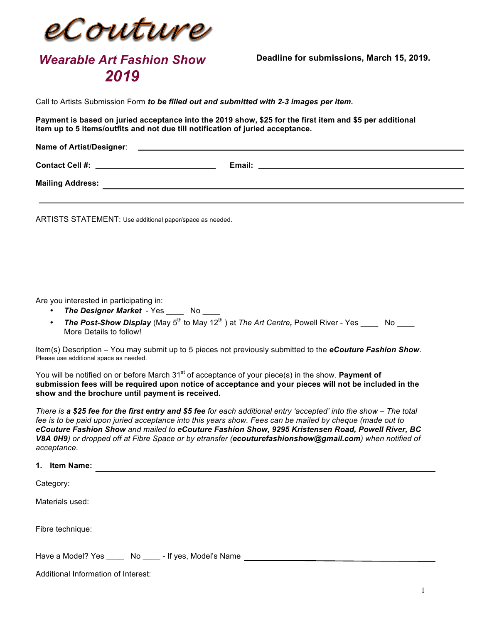

## *Wearable Art Fashion Show 2019*

**Deadline for submissions, March 15, 2019.**

Call to Artists Submission Form *to be filled out and submitted with 2-3 images per item.*

**Payment is based on juried acceptance into the 2019 show, \$25 for the first item and \$5 per additional item up to 5 items/outfits and not due till notification of juried acceptance.**

| <b>Name of Artist/Designer:</b> |        |
|---------------------------------|--------|
| <b>Contact Cell #:</b>          | Email: |
| <b>Mailing Address:</b>         |        |

ARTISTS STATEMENT: Use additional paper/space as needed.

Are you interested in participating in:

Additional Information of Interest:

- *The Designer Market* Yes \_\_\_\_ No \_\_\_\_
- *The Post-Show Display* (May 5<sup>th</sup> to May 12<sup>th</sup>) at *The Art Centre*, Powell River Yes \_\_\_\_ No More Details to follow!

Item(s) Description – You may submit up to 5 pieces not previously submitted to the *eCouture Fashion Show*. Please use additional space as needed.

You will be notified on or before March 31<sup>st</sup> of acceptance of your piece(s) in the show. **Payment of submission fees will be required upon notice of acceptance and your pieces will not be included in the show and the brochure until payment is received.** 

*There is a \$25 fee for the first entry and \$5 fee for each additional entry 'accepted' into the show – The total fee is to be paid upon juried acceptance into this years show. Fees can be mailed by cheque (made out to eCouture Fashion Show and mailed to eCouture Fashion Show, 9295 Kristensen Road, Powell River, BC V8A 0H9) or dropped off at Fibre Space or by etransfer (ecouturefashionshow@gmail.com) when notified of acceptance*.

| 1. | <b>Item Name:</b>                                       |  |  |  |  |  |
|----|---------------------------------------------------------|--|--|--|--|--|
|    | Category:                                               |  |  |  |  |  |
|    | Materials used:                                         |  |  |  |  |  |
|    | Fibre technique:                                        |  |  |  |  |  |
|    | Have a Model? Yes ______ No _____- If yes, Model's Name |  |  |  |  |  |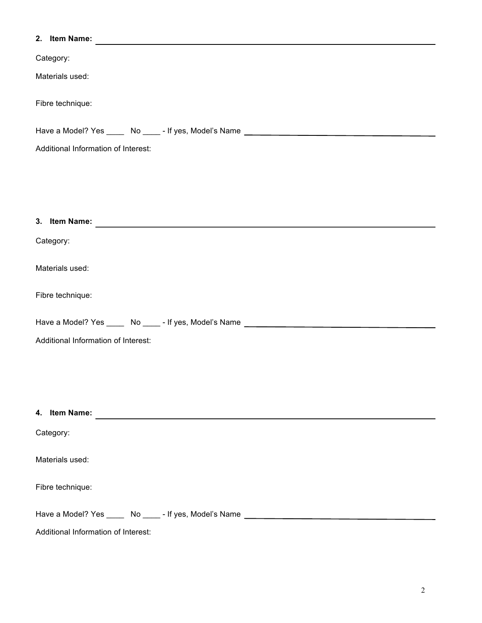| 2. Item Name:                                                                     |
|-----------------------------------------------------------------------------------|
| Category:                                                                         |
| Materials used:                                                                   |
| Fibre technique:                                                                  |
| Have a Model? Yes _____ No _____- If yes, Model's Name __________________________ |
| Additional Information of Interest:                                               |
|                                                                                   |
|                                                                                   |
|                                                                                   |
|                                                                                   |
| Category:                                                                         |
| Materials used:                                                                   |
| Fibre technique:                                                                  |
| Have a Model? Yes _____ No _____- If yes, Model's Name _________________________  |
| Additional Information of Interest:                                               |
|                                                                                   |
|                                                                                   |
|                                                                                   |
| 4. Item Name:                                                                     |
| Category:                                                                         |
| Materials used:                                                                   |
| Fibre technique:                                                                  |
| Have a Model? Yes _____ No _____- If yes, Model's Name _________________________  |
| Additional Information of Interest:                                               |